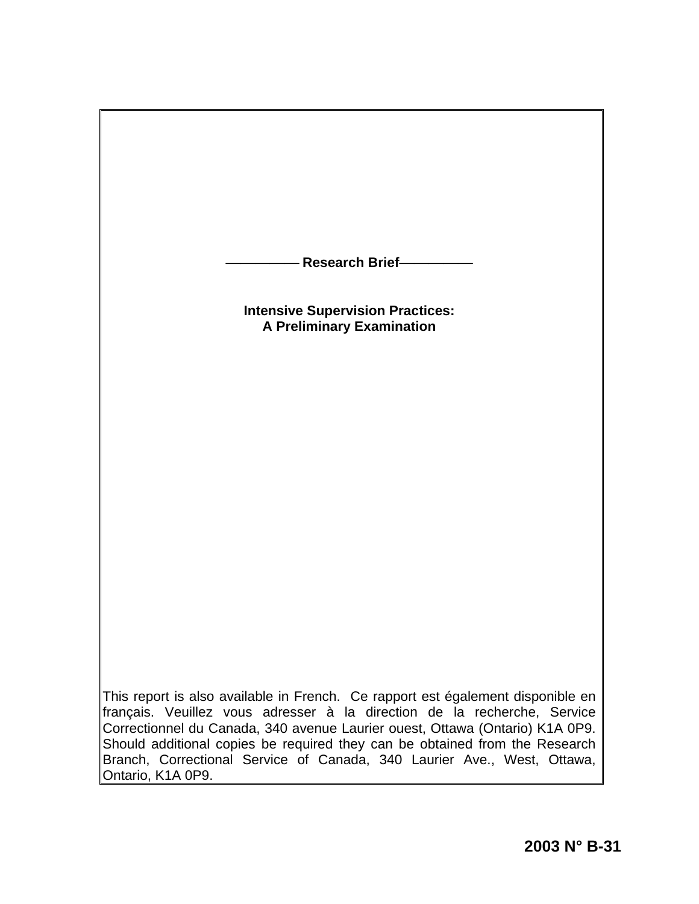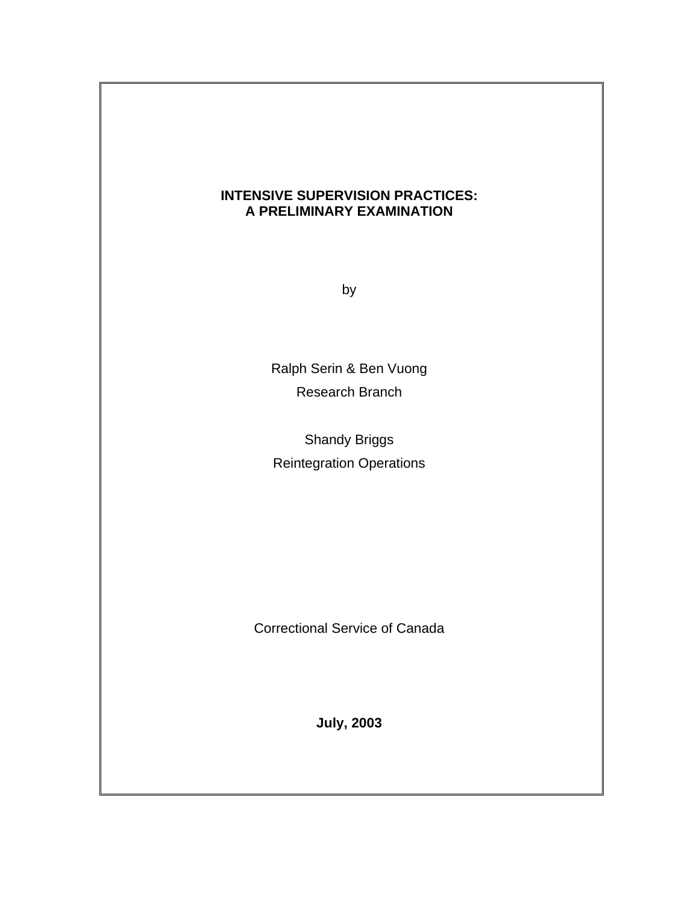# **INTENSIVE SUPERVISION PRACTICES: A PRELIMINARY EXAMINATION**

by

Ralph Serin & Ben Vuong Research Branch

Shandy Briggs Reintegration Operations

Correctional Service of Canada

**July, 2003**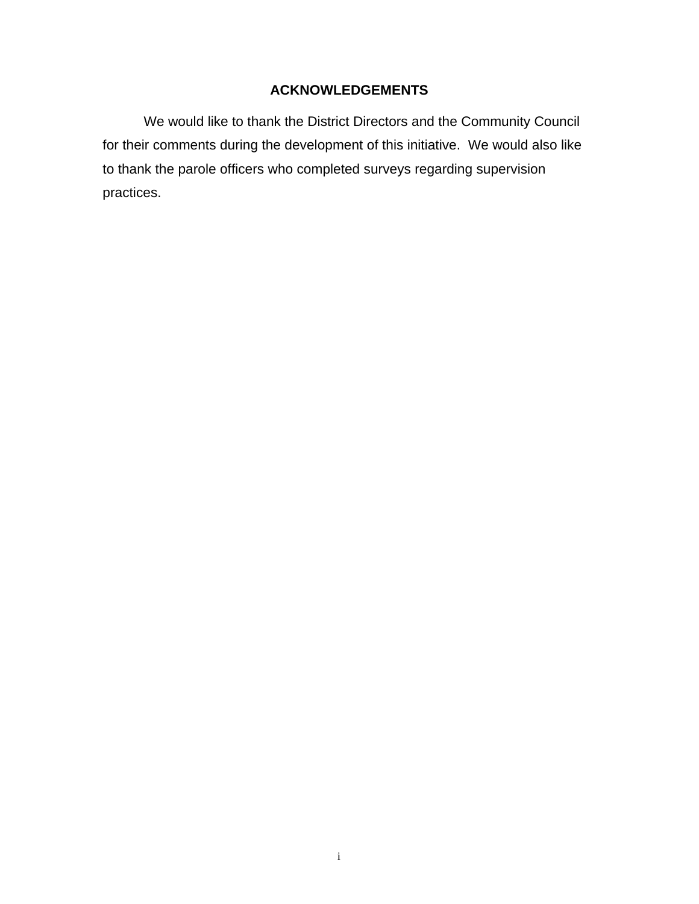# **ACKNOWLEDGEMENTS**

We would like to thank the District Directors and the Community Council for their comments during the development of this initiative. We would also like to thank the parole officers who completed surveys regarding supervision practices.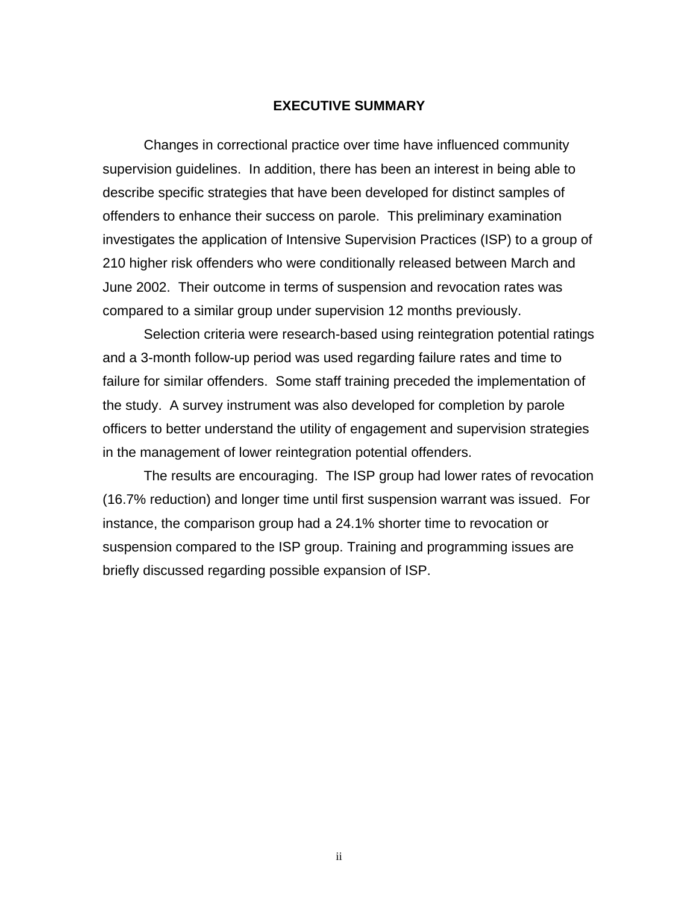#### **EXECUTIVE SUMMARY**

Changes in correctional practice over time have influenced community supervision guidelines. In addition, there has been an interest in being able to describe specific strategies that have been developed for distinct samples of offenders to enhance their success on parole. This preliminary examination investigates the application of Intensive Supervision Practices (ISP) to a group of 210 higher risk offenders who were conditionally released between March and June 2002. Their outcome in terms of suspension and revocation rates was compared to a similar group under supervision 12 months previously.

Selection criteria were research-based using reintegration potential ratings and a 3-month follow-up period was used regarding failure rates and time to failure for similar offenders. Some staff training preceded the implementation of the study. A survey instrument was also developed for completion by parole officers to better understand the utility of engagement and supervision strategies in the management of lower reintegration potential offenders.

The results are encouraging. The ISP group had lower rates of revocation (16.7% reduction) and longer time until first suspension warrant was issued. For instance, the comparison group had a 24.1% shorter time to revocation or suspension compared to the ISP group. Training and programming issues are briefly discussed regarding possible expansion of ISP.

ii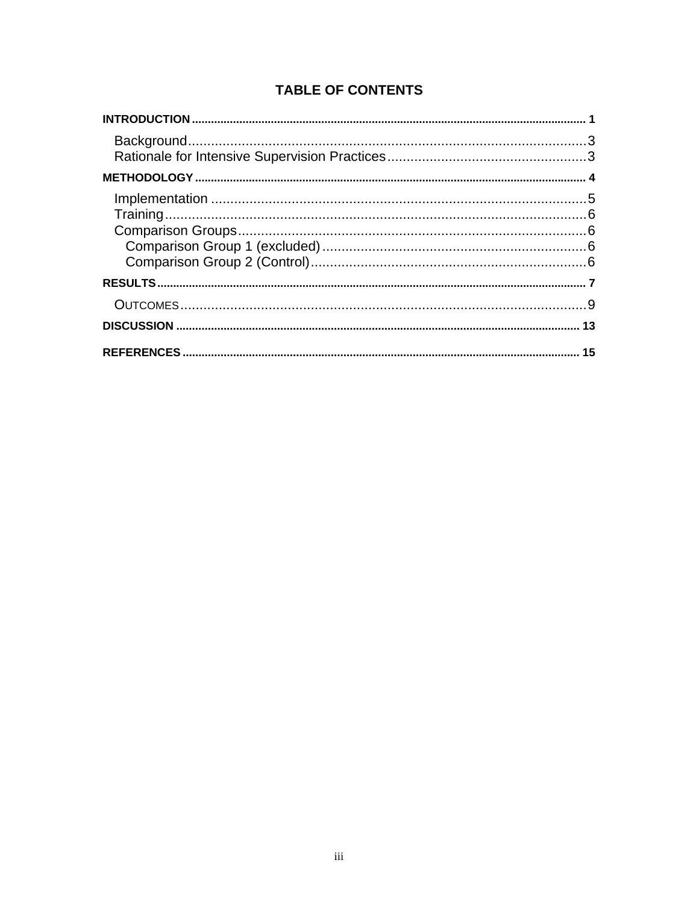# **TABLE OF CONTENTS**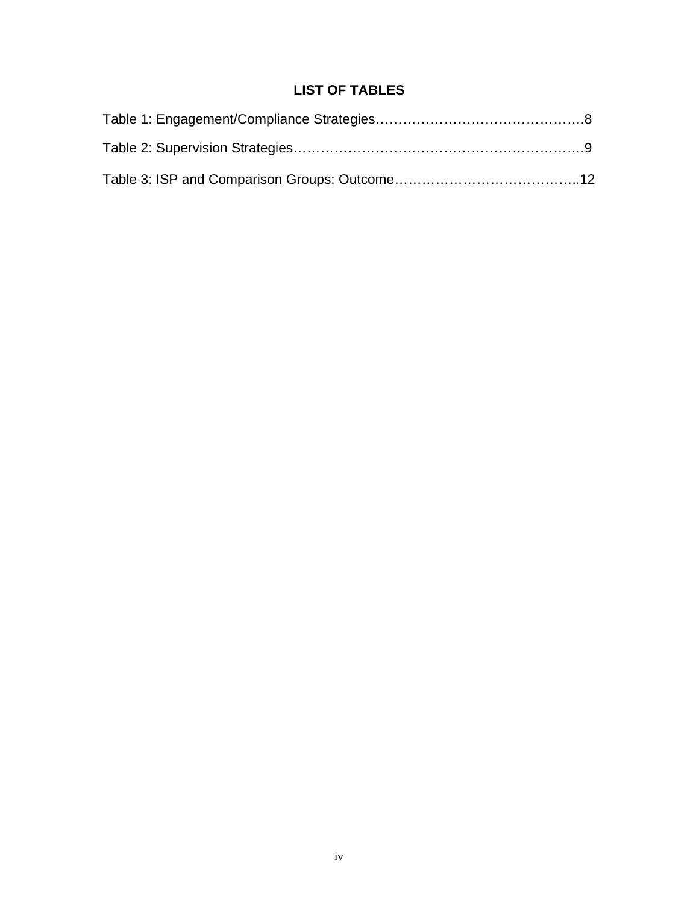# **LIST OF TABLES**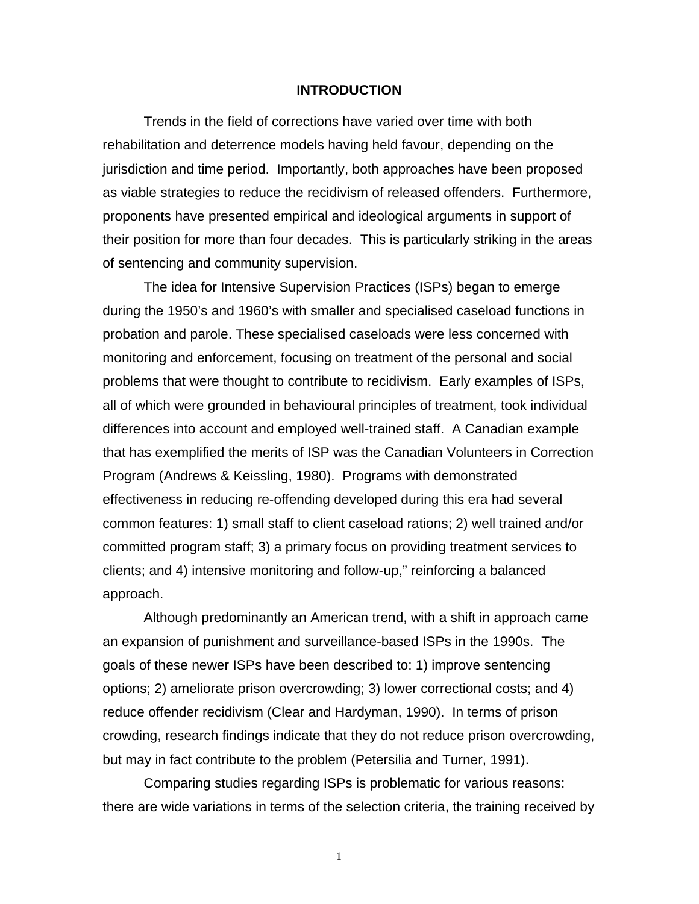#### **INTRODUCTION**

Trends in the field of corrections have varied over time with both rehabilitation and deterrence models having held favour, depending on the jurisdiction and time period. Importantly, both approaches have been proposed as viable strategies to reduce the recidivism of released offenders. Furthermore, proponents have presented empirical and ideological arguments in support of their position for more than four decades. This is particularly striking in the areas of sentencing and community supervision.

The idea for Intensive Supervision Practices (ISPs) began to emerge during the 1950's and 1960's with smaller and specialised caseload functions in probation and parole. These specialised caseloads were less concerned with monitoring and enforcement, focusing on treatment of the personal and social problems that were thought to contribute to recidivism. Early examples of ISPs, all of which were grounded in behavioural principles of treatment, took individual differences into account and employed well-trained staff. A Canadian example that has exemplified the merits of ISP was the Canadian Volunteers in Correction Program (Andrews & Keissling, 1980). Programs with demonstrated effectiveness in reducing re-offending developed during this era had several common features: 1) small staff to client caseload rations; 2) well trained and/or committed program staff; 3) a primary focus on providing treatment services to clients; and 4) intensive monitoring and follow-up," reinforcing a balanced approach.

Although predominantly an American trend, with a shift in approach came an expansion of punishment and surveillance-based ISPs in the 1990s. The goals of these newer ISPs have been described to: 1) improve sentencing options; 2) ameliorate prison overcrowding; 3) lower correctional costs; and 4) reduce offender recidivism (Clear and Hardyman, 1990). In terms of prison crowding, research findings indicate that they do not reduce prison overcrowding, but may in fact contribute to the problem (Petersilia and Turner, 1991).

Comparing studies regarding ISPs is problematic for various reasons: there are wide variations in terms of the selection criteria, the training received by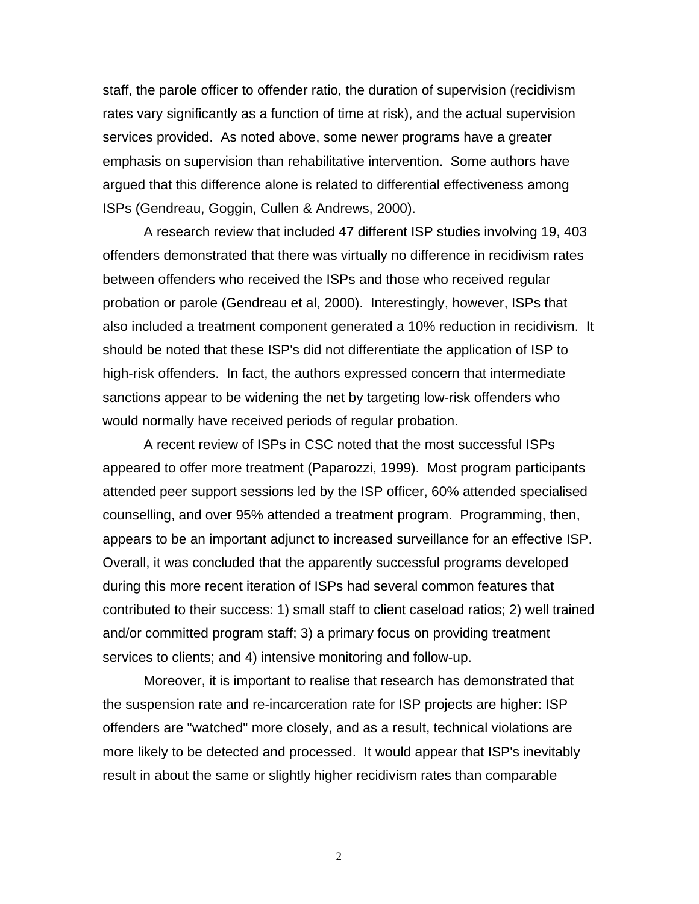staff, the parole officer to offender ratio, the duration of supervision (recidivism rates vary significantly as a function of time at risk), and the actual supervision services provided. As noted above, some newer programs have a greater emphasis on supervision than rehabilitative intervention. Some authors have argued that this difference alone is related to differential effectiveness among ISPs (Gendreau, Goggin, Cullen & Andrews, 2000).

A research review that included 47 different ISP studies involving 19, 403 offenders demonstrated that there was virtually no difference in recidivism rates between offenders who received the ISPs and those who received regular probation or parole (Gendreau et al, 2000). Interestingly, however, ISPs that also included a treatment component generated a 10% reduction in recidivism. It should be noted that these ISP's did not differentiate the application of ISP to high-risk offenders. In fact, the authors expressed concern that intermediate sanctions appear to be widening the net by targeting low-risk offenders who would normally have received periods of regular probation.

A recent review of ISPs in CSC noted that the most successful ISPs appeared to offer more treatment (Paparozzi, 1999). Most program participants attended peer support sessions led by the ISP officer, 60% attended specialised counselling, and over 95% attended a treatment program. Programming, then, appears to be an important adjunct to increased surveillance for an effective ISP. Overall, it was concluded that the apparently successful programs developed during this more recent iteration of ISPs had several common features that contributed to their success: 1) small staff to client caseload ratios; 2) well trained and/or committed program staff; 3) a primary focus on providing treatment services to clients; and 4) intensive monitoring and follow-up.

Moreover, it is important to realise that research has demonstrated that the suspension rate and re-incarceration rate for ISP projects are higher: ISP offenders are "watched" more closely, and as a result, technical violations are more likely to be detected and processed. It would appear that ISP's inevitably result in about the same or slightly higher recidivism rates than comparable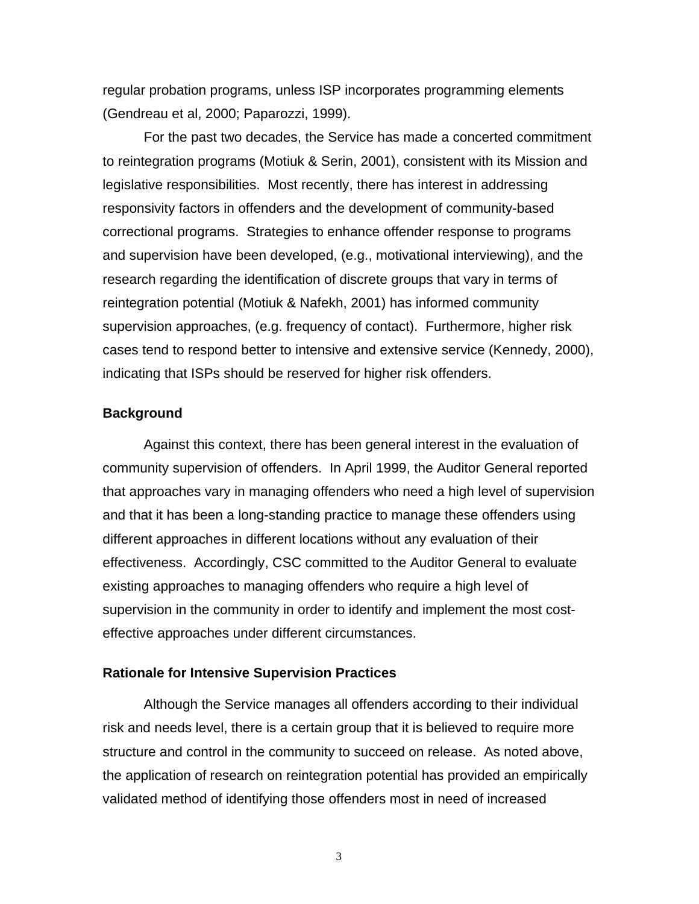<span id="page-8-0"></span>regular probation programs, unless ISP incorporates programming elements (Gendreau et al, 2000; Paparozzi, 1999).

For the past two decades, the Service has made a concerted commitment to reintegration programs (Motiuk & Serin, 2001), consistent with its Mission and legislative responsibilities. Most recently, there has interest in addressing responsivity factors in offenders and the development of community-based correctional programs. Strategies to enhance offender response to programs and supervision have been developed, (e.g., motivational interviewing), and the research regarding the identification of discrete groups that vary in terms of reintegration potential (Motiuk & Nafekh, 2001) has informed community supervision approaches, (e.g. frequency of contact). Furthermore, higher risk cases tend to respond better to intensive and extensive service (Kennedy, 2000), indicating that ISPs should be reserved for higher risk offenders.

# **Background**

Against this context, there has been general interest in the evaluation of community supervision of offenders. In April 1999, the Auditor General reported that approaches vary in managing offenders who need a high level of supervision and that it has been a long-standing practice to manage these offenders using different approaches in different locations without any evaluation of their effectiveness. Accordingly, CSC committed to the Auditor General to evaluate existing approaches to managing offenders who require a high level of supervision in the community in order to identify and implement the most costeffective approaches under different circumstances.

## **Rationale for Intensive Supervision Practices**

Although the Service manages all offenders according to their individual risk and needs level, there is a certain group that it is believed to require more structure and control in the community to succeed on release. As noted above, the application of research on reintegration potential has provided an empirically validated method of identifying those offenders most in need of increased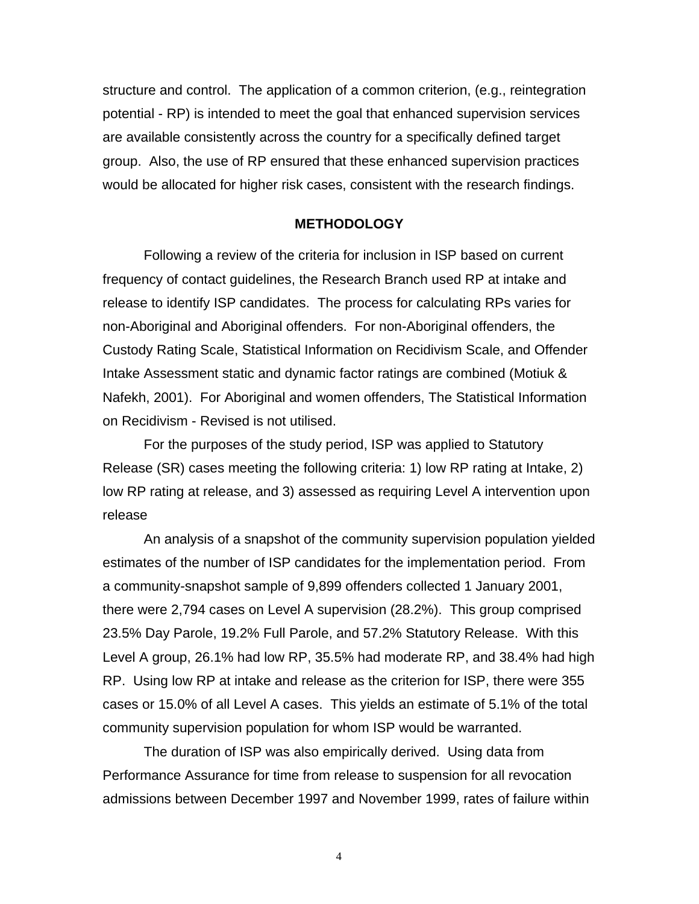<span id="page-9-0"></span>structure and control. The application of a common criterion, (e.g., reintegration potential - RP) is intended to meet the goal that enhanced supervision services are available consistently across the country for a specifically defined target group. Also, the use of RP ensured that these enhanced supervision practices would be allocated for higher risk cases, consistent with the research findings.

#### **METHODOLOGY**

Following a review of the criteria for inclusion in ISP based on current frequency of contact guidelines, the Research Branch used RP at intake and release to identify ISP candidates. The process for calculating RPs varies for non-Aboriginal and Aboriginal offenders. For non-Aboriginal offenders, the Custody Rating Scale, Statistical Information on Recidivism Scale, and Offender Intake Assessment static and dynamic factor ratings are combined (Motiuk & Nafekh, 2001). For Aboriginal and women offenders, The Statistical Information on Recidivism - Revised is not utilised.

For the purposes of the study period, ISP was applied to Statutory Release (SR) cases meeting the following criteria: 1) low RP rating at Intake, 2) low RP rating at release, and 3) assessed as requiring Level A intervention upon release

An analysis of a snapshot of the community supervision population yielded estimates of the number of ISP candidates for the implementation period. From a community-snapshot sample of 9,899 offenders collected 1 January 2001, there were 2,794 cases on Level A supervision (28.2%). This group comprised 23.5% Day Parole, 19.2% Full Parole, and 57.2% Statutory Release. With this Level A group, 26.1% had low RP, 35.5% had moderate RP, and 38.4% had high RP. Using low RP at intake and release as the criterion for ISP, there were 355 cases or 15.0% of all Level A cases. This yields an estimate of 5.1% of the total community supervision population for whom ISP would be warranted.

The duration of ISP was also empirically derived. Using data from Performance Assurance for time from release to suspension for all revocation admissions between December 1997 and November 1999, rates of failure within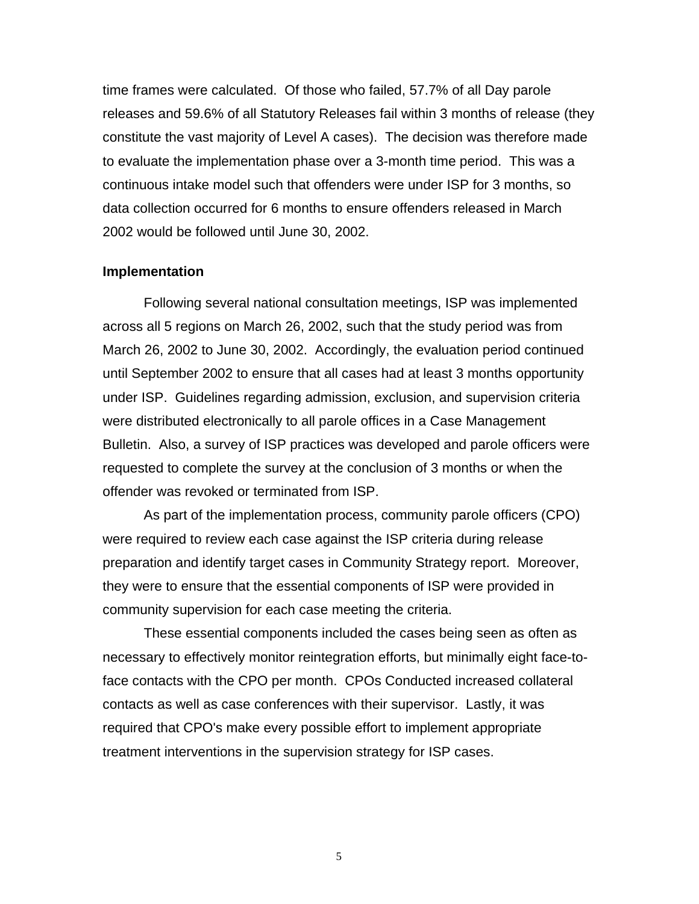<span id="page-10-0"></span>time frames were calculated. Of those who failed, 57.7% of all Day parole releases and 59.6% of all Statutory Releases fail within 3 months of release (they constitute the vast majority of Level A cases). The decision was therefore made to evaluate the implementation phase over a 3-month time period. This was a continuous intake model such that offenders were under ISP for 3 months, so data collection occurred for 6 months to ensure offenders released in March 2002 would be followed until June 30, 2002.

#### **Implementation**

Following several national consultation meetings, ISP was implemented across all 5 regions on March 26, 2002, such that the study period was from March 26, 2002 to June 30, 2002. Accordingly, the evaluation period continued until September 2002 to ensure that all cases had at least 3 months opportunity under ISP. Guidelines regarding admission, exclusion, and supervision criteria were distributed electronically to all parole offices in a Case Management Bulletin. Also, a survey of ISP practices was developed and parole officers were requested to complete the survey at the conclusion of 3 months or when the offender was revoked or terminated from ISP.

As part of the implementation process, community parole officers (CPO) were required to review each case against the ISP criteria during release preparation and identify target cases in Community Strategy report. Moreover, they were to ensure that the essential components of ISP were provided in community supervision for each case meeting the criteria.

These essential components included the cases being seen as often as necessary to effectively monitor reintegration efforts, but minimally eight face-toface contacts with the CPO per month. CPOs Conducted increased collateral contacts as well as case conferences with their supervisor. Lastly, it was required that CPO's make every possible effort to implement appropriate treatment interventions in the supervision strategy for ISP cases.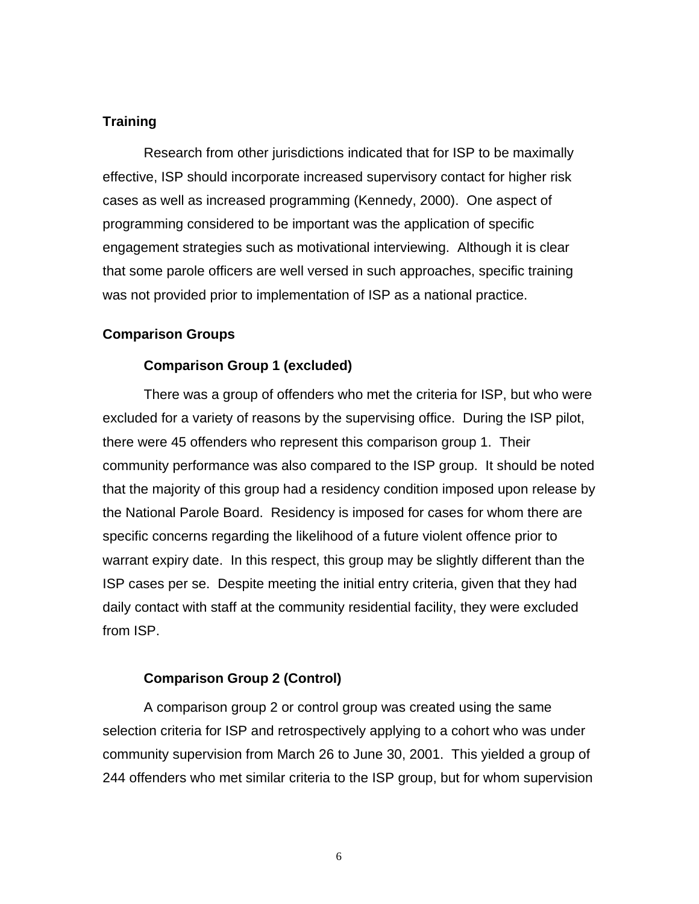# <span id="page-11-0"></span>**Training**

Research from other jurisdictions indicated that for ISP to be maximally effective, ISP should incorporate increased supervisory contact for higher risk cases as well as increased programming (Kennedy, 2000). One aspect of programming considered to be important was the application of specific engagement strategies such as motivational interviewing. Although it is clear that some parole officers are well versed in such approaches, specific training was not provided prior to implementation of ISP as a national practice.

# **Comparison Groups**

# **Comparison Group 1 (excluded)**

There was a group of offenders who met the criteria for ISP, but who were excluded for a variety of reasons by the supervising office. During the ISP pilot, there were 45 offenders who represent this comparison group 1. Their community performance was also compared to the ISP group. It should be noted that the majority of this group had a residency condition imposed upon release by the National Parole Board. Residency is imposed for cases for whom there are specific concerns regarding the likelihood of a future violent offence prior to warrant expiry date. In this respect, this group may be slightly different than the ISP cases per se. Despite meeting the initial entry criteria, given that they had daily contact with staff at the community residential facility, they were excluded from ISP.

# **Comparison Group 2 (Control)**

A comparison group 2 or control group was created using the same selection criteria for ISP and retrospectively applying to a cohort who was under community supervision from March 26 to June 30, 2001. This yielded a group of 244 offenders who met similar criteria to the ISP group, but for whom supervision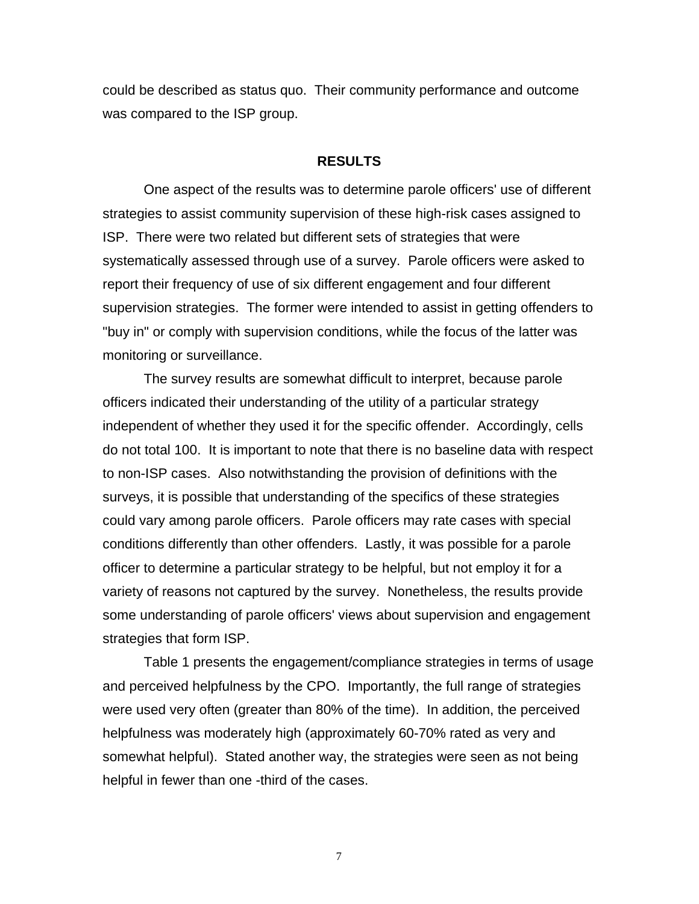<span id="page-12-0"></span>could be described as status quo. Their community performance and outcome was compared to the ISP group.

#### **RESULTS**

One aspect of the results was to determine parole officers' use of different strategies to assist community supervision of these high-risk cases assigned to ISP. There were two related but different sets of strategies that were systematically assessed through use of a survey. Parole officers were asked to report their frequency of use of six different engagement and four different supervision strategies. The former were intended to assist in getting offenders to "buy in" or comply with supervision conditions, while the focus of the latter was monitoring or surveillance.

The survey results are somewhat difficult to interpret, because parole officers indicated their understanding of the utility of a particular strategy independent of whether they used it for the specific offender. Accordingly, cells do not total 100. It is important to note that there is no baseline data with respect to non-ISP cases. Also notwithstanding the provision of definitions with the surveys, it is possible that understanding of the specifics of these strategies could vary among parole officers. Parole officers may rate cases with special conditions differently than other offenders. Lastly, it was possible for a parole officer to determine a particular strategy to be helpful, but not employ it for a variety of reasons not captured by the survey. Nonetheless, the results provide some understanding of parole officers' views about supervision and engagement strategies that form ISP.

Table 1 presents the engagement/compliance strategies in terms of usage and perceived helpfulness by the CPO. Importantly, the full range of strategies were used very often (greater than 80% of the time). In addition, the perceived helpfulness was moderately high (approximately 60-70% rated as very and somewhat helpful). Stated another way, the strategies were seen as not being helpful in fewer than one -third of the cases.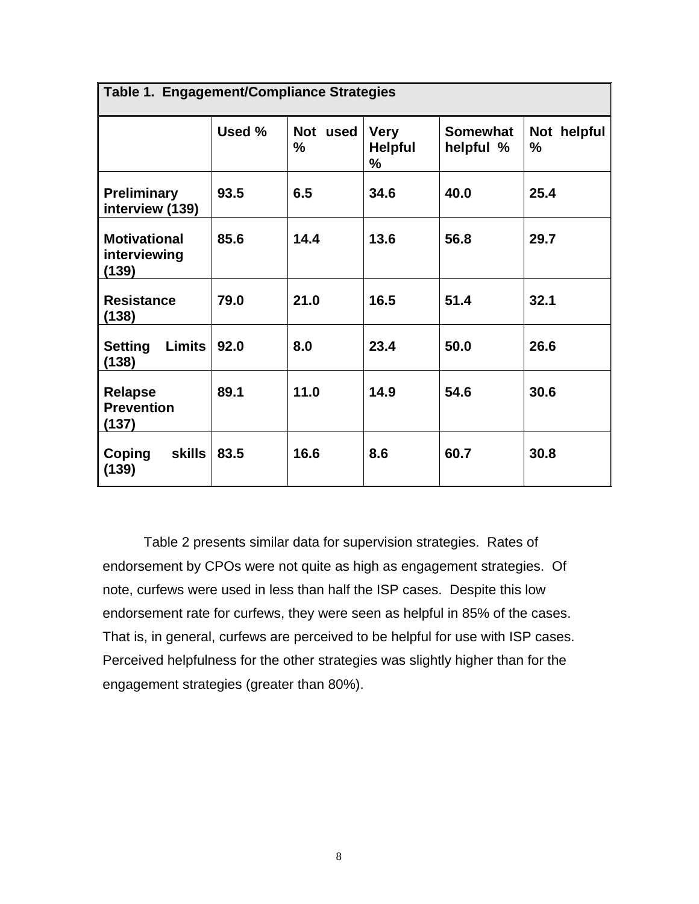| Table 1. Engagement/Compliance Strategies    |        |                         |                                    |                              |                  |
|----------------------------------------------|--------|-------------------------|------------------------------------|------------------------------|------------------|
|                                              | Used % | <b>Not</b><br>used<br>% | <b>Very</b><br><b>Helpful</b><br>% | <b>Somewhat</b><br>helpful % | Not helpful<br>% |
| <b>Preliminary</b><br>interview (139)        | 93.5   | 6.5                     | 34.6                               | 40.0                         | 25.4             |
| <b>Motivational</b><br>interviewing<br>(139) | 85.6   | 14.4                    | 13.6                               | 56.8                         | 29.7             |
| <b>Resistance</b><br>(138)                   | 79.0   | 21.0                    | 16.5                               | 51.4                         | 32.1             |
| <b>Setting</b><br>Limits<br>(138)            | 92.0   | 8.0                     | 23.4                               | 50.0                         | 26.6             |
| <b>Relapse</b><br><b>Prevention</b><br>(137) | 89.1   | 11.0                    | 14.9                               | 54.6                         | 30.6             |
| <b>skills</b><br>Coping<br>(139)             | 83.5   | 16.6                    | 8.6                                | 60.7                         | 30.8             |

Table 2 presents similar data for supervision strategies. Rates of endorsement by CPOs were not quite as high as engagement strategies. Of note, curfews were used in less than half the ISP cases. Despite this low endorsement rate for curfews, they were seen as helpful in 85% of the cases. That is, in general, curfews are perceived to be helpful for use with ISP cases. Perceived helpfulness for the other strategies was slightly higher than for the engagement strategies (greater than 80%).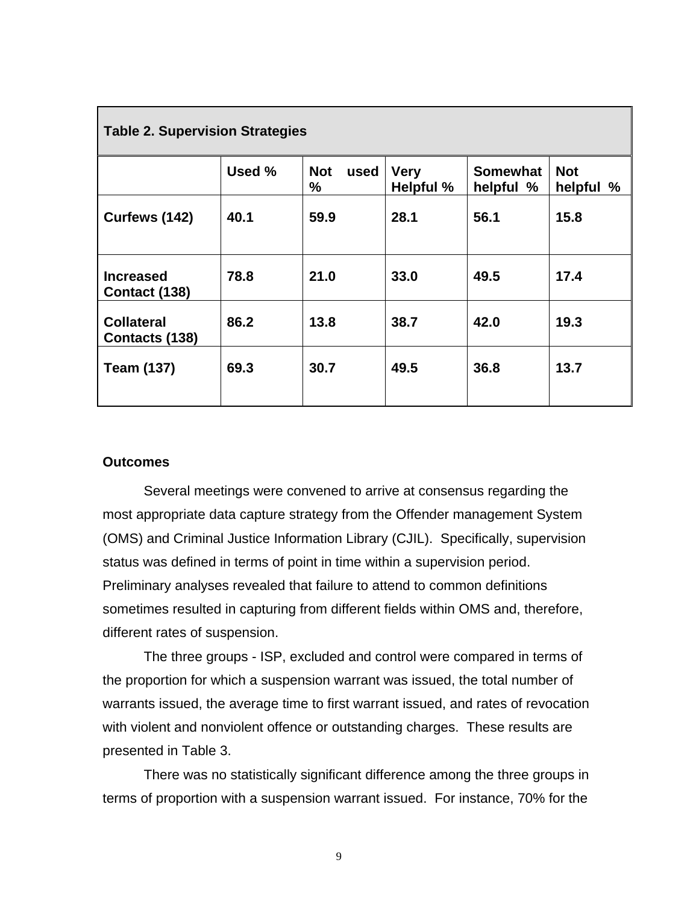<span id="page-14-0"></span>

| <b>Table 2. Supervision Strategies</b> |        |                            |                                 |                              |                         |
|----------------------------------------|--------|----------------------------|---------------------------------|------------------------------|-------------------------|
|                                        | Used % | <b>Not</b><br>used<br>$\%$ | <b>Very</b><br><b>Helpful %</b> | <b>Somewhat</b><br>helpful % | <b>Not</b><br>helpful % |
| Curfews (142)                          | 40.1   | 59.9                       | 28.1                            | 56.1                         | 15.8                    |
| <b>Increased</b><br>Contact (138)      | 78.8   | 21.0                       | 33.0                            | 49.5                         | 17.4                    |
| <b>Collateral</b><br>Contacts (138)    | 86.2   | 13.8                       | 38.7                            | 42.0                         | 19.3                    |
| <b>Team (137)</b>                      | 69.3   | 30.7                       | 49.5                            | 36.8                         | 13.7                    |

## **Outcomes**

Several meetings were convened to arrive at consensus regarding the most appropriate data capture strategy from the Offender management System (OMS) and Criminal Justice Information Library (CJIL). Specifically, supervision status was defined in terms of point in time within a supervision period. Preliminary analyses revealed that failure to attend to common definitions sometimes resulted in capturing from different fields within OMS and, therefore, different rates of suspension.

The three groups - ISP, excluded and control were compared in terms of the proportion for which a suspension warrant was issued, the total number of warrants issued, the average time to first warrant issued, and rates of revocation with violent and nonviolent offence or outstanding charges. These results are presented in Table 3.

There was no statistically significant difference among the three groups in terms of proportion with a suspension warrant issued. For instance, 70% for the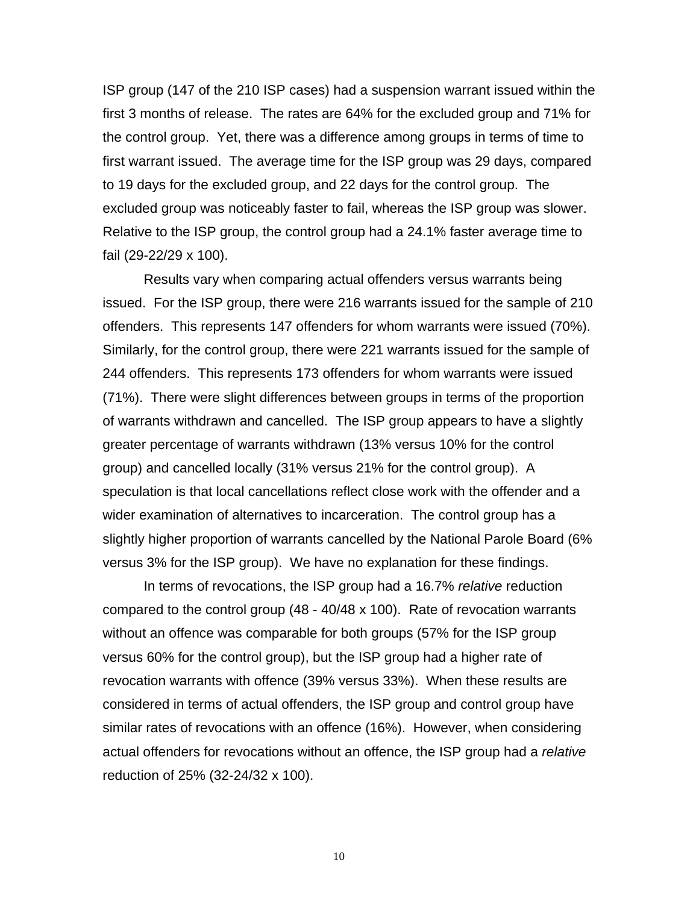ISP group (147 of the 210 ISP cases) had a suspension warrant issued within the first 3 months of release. The rates are 64% for the excluded group and 71% for the control group. Yet, there was a difference among groups in terms of time to first warrant issued. The average time for the ISP group was 29 days, compared to 19 days for the excluded group, and 22 days for the control group. The excluded group was noticeably faster to fail, whereas the ISP group was slower. Relative to the ISP group, the control group had a 24.1% faster average time to fail (29-22/29 x 100).

Results vary when comparing actual offenders versus warrants being issued. For the ISP group, there were 216 warrants issued for the sample of 210 offenders. This represents 147 offenders for whom warrants were issued (70%). Similarly, for the control group, there were 221 warrants issued for the sample of 244 offenders. This represents 173 offenders for whom warrants were issued (71%). There were slight differences between groups in terms of the proportion of warrants withdrawn and cancelled. The ISP group appears to have a slightly greater percentage of warrants withdrawn (13% versus 10% for the control group) and cancelled locally (31% versus 21% for the control group). A speculation is that local cancellations reflect close work with the offender and a wider examination of alternatives to incarceration. The control group has a slightly higher proportion of warrants cancelled by the National Parole Board (6% versus 3% for the ISP group). We have no explanation for these findings.

In terms of revocations, the ISP group had a 16.7% *relative* reduction compared to the control group (48 - 40/48 x 100). Rate of revocation warrants without an offence was comparable for both groups (57% for the ISP group versus 60% for the control group), but the ISP group had a higher rate of revocation warrants with offence (39% versus 33%). When these results are considered in terms of actual offenders, the ISP group and control group have similar rates of revocations with an offence (16%). However, when considering actual offenders for revocations without an offence, the ISP group had a *relative* reduction of 25% (32-24/32 x 100).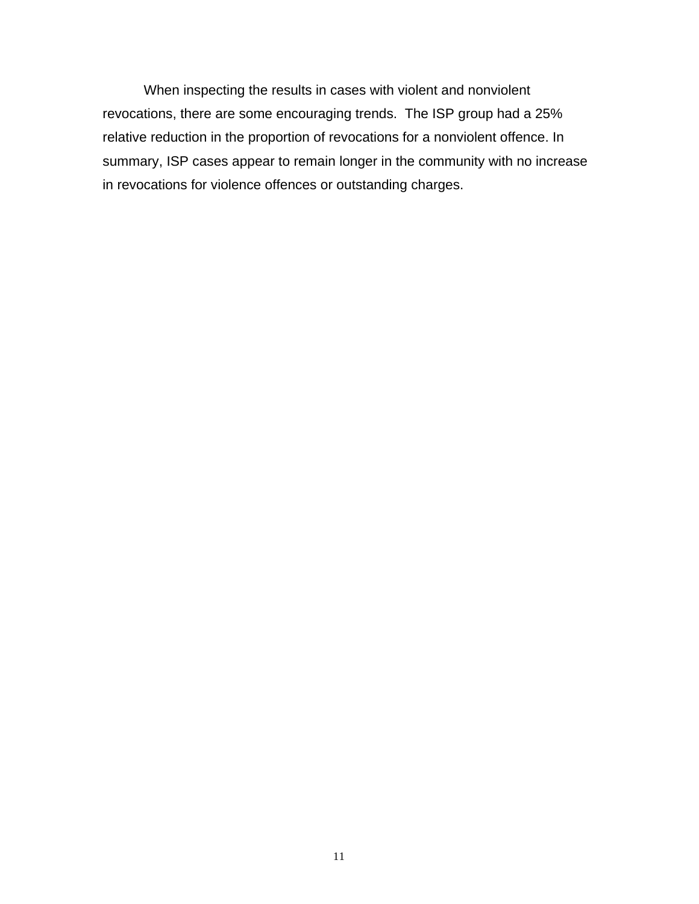When inspecting the results in cases with violent and nonviolent revocations, there are some encouraging trends. The ISP group had a 25% relative reduction in the proportion of revocations for a nonviolent offence. In summary, ISP cases appear to remain longer in the community with no increase in revocations for violence offences or outstanding charges.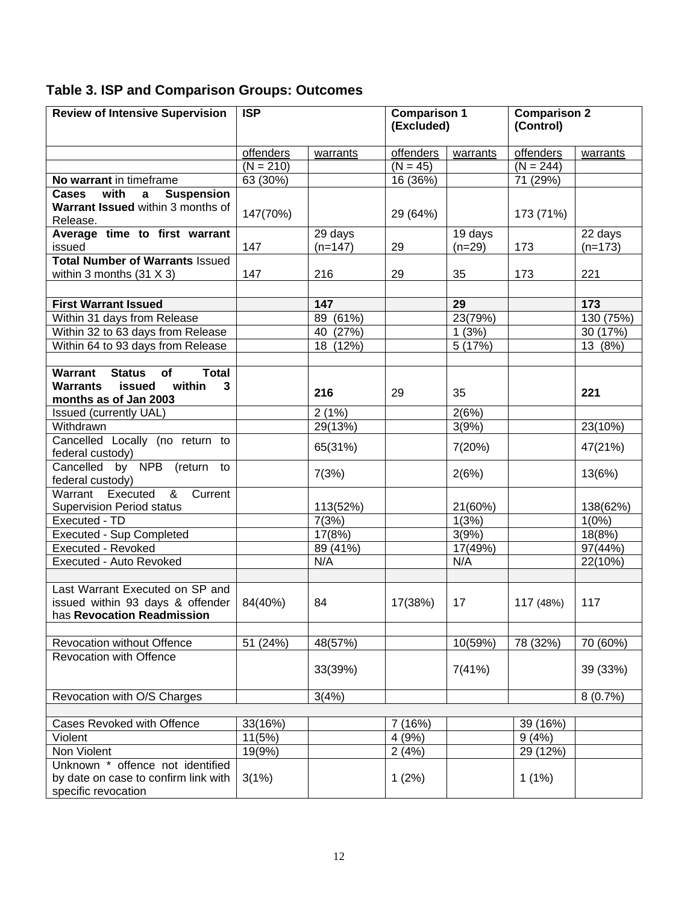# **Table 3. ISP and Comparison Groups: Outcomes**

| <b>Review of Intensive Supervision</b>                                                                              | <b>ISP</b>  |                      | <b>Comparison 1</b><br>(Excluded) |                     | <b>Comparison 2</b><br>(Control) |                      |
|---------------------------------------------------------------------------------------------------------------------|-------------|----------------------|-----------------------------------|---------------------|----------------------------------|----------------------|
|                                                                                                                     | offenders   | warrants             | offenders                         | warrants            | offenders                        | warrants             |
|                                                                                                                     | $(N = 210)$ |                      | $(N = 45)$                        |                     | $(N = 244)$                      |                      |
| No warrant in timeframe                                                                                             | 63 (30%)    |                      | 16 (36%)                          |                     | 71 (29%)                         |                      |
| <b>Suspension</b><br>with<br>Cases<br>$\mathbf{a}$<br>Warrant Issued within 3 months of<br>Release.                 | 147(70%)    |                      | 29 (64%)                          |                     | 173 (71%)                        |                      |
| Average time to first warrant<br>issued                                                                             | 147         | 29 days<br>$(n=147)$ | 29                                | 19 days<br>$(n=29)$ | 173                              | 22 days<br>$(n=173)$ |
| <b>Total Number of Warrants Issued</b><br>within 3 months $(31 X 3)$                                                | 147         | 216                  | 29                                | 35                  | 173                              | 221                  |
|                                                                                                                     |             |                      |                                   |                     |                                  |                      |
| <b>First Warrant Issued</b>                                                                                         |             | 147                  |                                   | 29                  |                                  | 173                  |
| Within 31 days from Release                                                                                         |             | 89 (61%)             |                                   | 23(79%)             |                                  | 130 (75%)            |
| Within 32 to 63 days from Release                                                                                   |             | 40 (27%)             |                                   | 1(3%)               |                                  | 30 (17%)             |
| Within 64 to 93 days from Release                                                                                   |             | 18 (12%)             |                                   | 5(17%)              |                                  | 13 (8%)              |
| Warrant<br><b>Status</b><br>of<br><b>Total</b><br>issued<br>within<br><b>Warrants</b><br>3<br>months as of Jan 2003 |             | 216                  | 29                                | 35                  |                                  | 221                  |
| Issued (currently UAL)                                                                                              |             | 2(1%)                |                                   | 2(6%)               |                                  |                      |
| Withdrawn                                                                                                           |             | 29(13%)              |                                   | 3(9%)               |                                  | 23(10%)              |
| Cancelled Locally (no return to<br>federal custody)                                                                 |             | 65(31%)              |                                   | 7(20%)              |                                  | 47(21%)              |
| Cancelled by NPB (return to<br>federal custody)                                                                     |             | 7(3%)                |                                   | 2(6%)               |                                  | 13(6%)               |
| Warrant Executed<br>&<br>Current<br><b>Supervision Period status</b>                                                |             | 113(52%)             |                                   | 21(60%)             |                                  | 138(62%)             |
| Executed - TD                                                                                                       |             | 7(3%)                |                                   | 1(3%)               |                                  | 1(0%)                |
| <b>Executed - Sup Completed</b>                                                                                     |             | 17(8%)               |                                   | 3(9%)               |                                  | 18(8%)               |
| <b>Executed - Revoked</b>                                                                                           |             | 89 (41%)             |                                   | 17(49%)             |                                  | 97(44%)              |
| Executed - Auto Revoked                                                                                             |             | N/A                  |                                   | N/A                 |                                  | 22(10%)              |
| Last Warrant Executed on SP and<br>issued within 93 days & offender<br>has Revocation Readmission                   | 84(40%)     | 84                   | 17(38%)                           | 17                  | 117 (48%)                        | 117                  |
| <b>Revocation without Offence</b>                                                                                   | 51 (24%)    | 48(57%)              |                                   | 10(59%)             | 78 (32%)                         | 70 (60%)             |
| Revocation with Offence                                                                                             |             | 33(39%)              |                                   | 7(41%)              |                                  | 39 (33%)             |
| Revocation with O/S Charges                                                                                         |             | 3(4%)                |                                   |                     |                                  | 8(0.7%)              |
|                                                                                                                     |             |                      |                                   |                     |                                  |                      |
| Cases Revoked with Offence                                                                                          | 33(16%)     |                      | (16%)<br>7                        |                     | 39 (16%)                         |                      |
| Violent                                                                                                             | 11(5%)      |                      | 4(9%)                             |                     | 9(4%)                            |                      |
| Non Violent                                                                                                         | 19(9%)      |                      | 2(4%)                             |                     | 29 (12%)                         |                      |
| Unknown * offence not identified<br>by date on case to confirm link with<br>specific revocation                     | 3(1%)       |                      | 1(2%)                             |                     | $1(1\%)$                         |                      |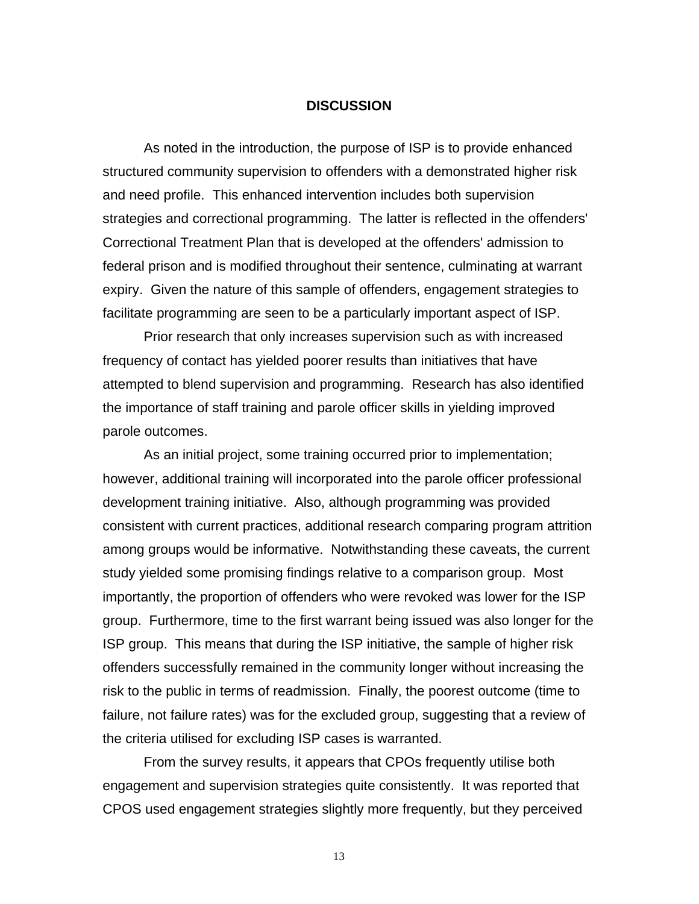#### **DISCUSSION**

<span id="page-18-0"></span>As noted in the introduction, the purpose of ISP is to provide enhanced structured community supervision to offenders with a demonstrated higher risk and need profile. This enhanced intervention includes both supervision strategies and correctional programming. The latter is reflected in the offenders' Correctional Treatment Plan that is developed at the offenders' admission to federal prison and is modified throughout their sentence, culminating at warrant expiry. Given the nature of this sample of offenders, engagement strategies to facilitate programming are seen to be a particularly important aspect of ISP.

Prior research that only increases supervision such as with increased frequency of contact has yielded poorer results than initiatives that have attempted to blend supervision and programming. Research has also identified the importance of staff training and parole officer skills in yielding improved parole outcomes.

As an initial project, some training occurred prior to implementation; however, additional training will incorporated into the parole officer professional development training initiative. Also, although programming was provided consistent with current practices, additional research comparing program attrition among groups would be informative. Notwithstanding these caveats, the current study yielded some promising findings relative to a comparison group. Most importantly, the proportion of offenders who were revoked was lower for the ISP group. Furthermore, time to the first warrant being issued was also longer for the ISP group. This means that during the ISP initiative, the sample of higher risk offenders successfully remained in the community longer without increasing the risk to the public in terms of readmission. Finally, the poorest outcome (time to failure, not failure rates) was for the excluded group, suggesting that a review of the criteria utilised for excluding ISP cases is warranted.

From the survey results, it appears that CPOs frequently utilise both engagement and supervision strategies quite consistently. It was reported that CPOS used engagement strategies slightly more frequently, but they perceived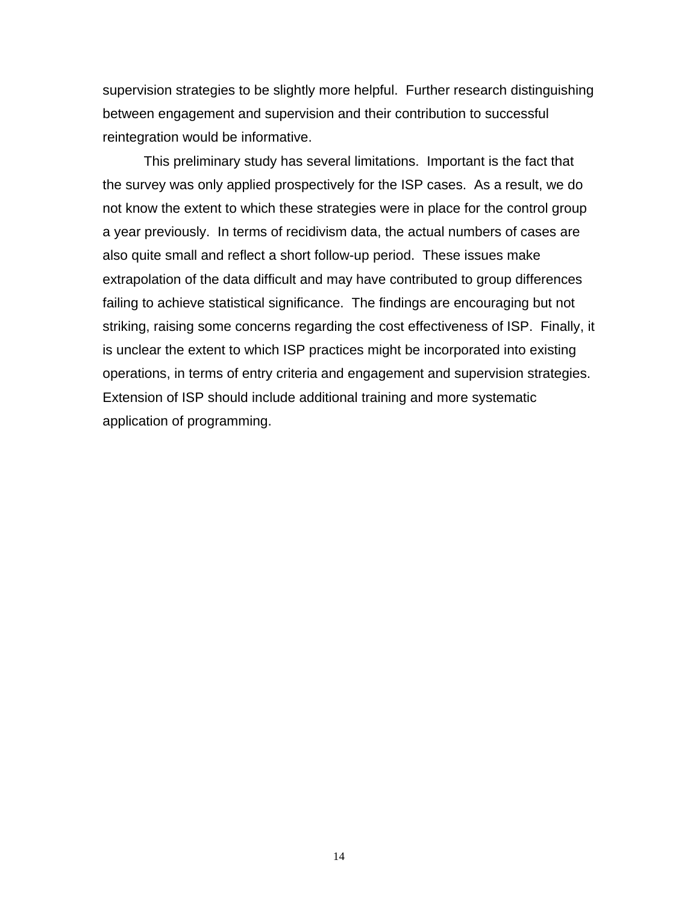supervision strategies to be slightly more helpful. Further research distinguishing between engagement and supervision and their contribution to successful reintegration would be informative.

This preliminary study has several limitations. Important is the fact that the survey was only applied prospectively for the ISP cases. As a result, we do not know the extent to which these strategies were in place for the control group a year previously. In terms of recidivism data, the actual numbers of cases are also quite small and reflect a short follow-up period. These issues make extrapolation of the data difficult and may have contributed to group differences failing to achieve statistical significance. The findings are encouraging but not striking, raising some concerns regarding the cost effectiveness of ISP. Finally, it is unclear the extent to which ISP practices might be incorporated into existing operations, in terms of entry criteria and engagement and supervision strategies. Extension of ISP should include additional training and more systematic application of programming.